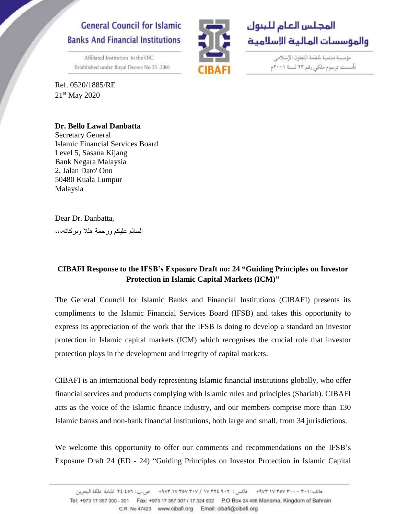## **General Council for Islamic Banks And Financial Institutions**

Affiliated Institution to the OIC

Established under Royal Decree No 23 -2001

Ref. 0520/1885/RE 21<sup>st</sup> May 2020



مؤسسة منتمية لمنظمة التعاون الإسلامي تأسست بمرسوم ملكي رقم ٢٣ لسنة ٢٠٠١م

**Dr. Bello Lawal Danbatta** Secretary General Islamic Financial Services Board Level 5, Sasana Kijang Bank Negara Malaysia 2, Jalan Dato' Onn 50480 Kuala Lumpur Malaysia

Dear Dr. Danbatta, السالم عليكم ورحمة هلال وبركاته،،،

## **CIBAFI Response to the IFSB's Exposure Draft no: 24 "Guiding Principles on Investor Protection in Islamic Capital Markets (ICM)"**

The General Council for Islamic Banks and Financial Institutions (CIBAFI) presents its compliments to the Islamic Financial Services Board (IFSB) and takes this opportunity to express its appreciation of the work that the IFSB is doing to develop a standard on investor protection in Islamic capital markets (ICM) which recognises the crucial role that investor protection plays in the development and integrity of capital markets.

CIBAFI is an international body representing Islamic financial institutions globally, who offer financial services and products complying with Islamic rules and principles (Shariah). CIBAFI acts as the voice of the Islamic finance industry, and our members comprise more than 130 Islamic banks and non-bank financial institutions, both large and small, from 34 jurisdictions.

We welcome this opportunity to offer our comments and recommendations on the IFSB's Exposure Draft 24 (ED - 24) "Guiding Principles on Investor Protection in Islamic Capital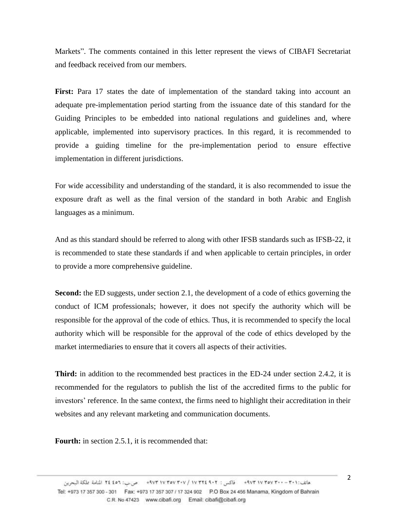Markets". The comments contained in this letter represent the views of CIBAFI Secretariat and feedback received from our members.

**First:** Para 17 states the date of implementation of the standard taking into account an adequate pre-implementation period starting from the issuance date of this standard for the Guiding Principles to be embedded into national regulations and guidelines and, where applicable, implemented into supervisory practices. In this regard, it is recommended to provide a guiding timeline for the pre-implementation period to ensure effective implementation in different jurisdictions.

For wide accessibility and understanding of the standard, it is also recommended to issue the exposure draft as well as the final version of the standard in both Arabic and English languages as a minimum.

And as this standard should be referred to along with other IFSB standards such as IFSB-22, it is recommended to state these standards if and when applicable to certain principles, in order to provide a more comprehensive guideline.

**Second:** the ED suggests, under section 2.1, the development of a code of ethics governing the conduct of ICM professionals; however, it does not specify the authority which will be responsible for the approval of the code of ethics. Thus, it is recommended to specify the local authority which will be responsible for the approval of the code of ethics developed by the market intermediaries to ensure that it covers all aspects of their activities.

**Third:** in addition to the recommended best practices in the ED-24 under section 2.4.2, it is recommended for the regulators to publish the list of the accredited firms to the public for investors' reference. In the same context, the firms need to highlight their accreditation in their websites and any relevant marketing and communication documents.

**Fourth:** in section 2.5.1, it is recommended that: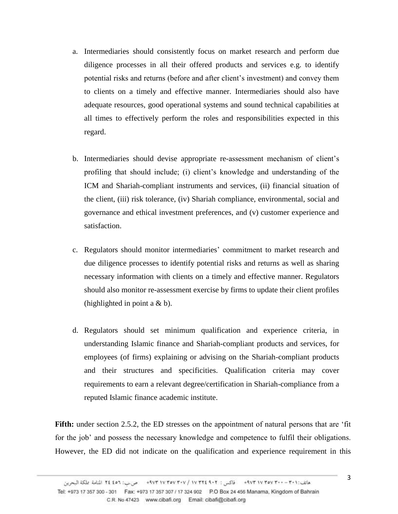- a. Intermediaries should consistently focus on market research and perform due diligence processes in all their offered products and services e.g. to identify potential risks and returns (before and after client's investment) and convey them to clients on a timely and effective manner. Intermediaries should also have adequate resources, good operational systems and sound technical capabilities at all times to effectively perform the roles and responsibilities expected in this regard.
- b. Intermediaries should devise appropriate re-assessment mechanism of client's profiling that should include; (i) client's knowledge and understanding of the ICM and Shariah-compliant instruments and services, (ii) financial situation of the client, (iii) risk tolerance, (iv) Shariah compliance, environmental, social and governance and ethical investment preferences, and (v) customer experience and satisfaction.
- c. Regulators should monitor intermediaries' commitment to market research and due diligence processes to identify potential risks and returns as well as sharing necessary information with clients on a timely and effective manner. Regulators should also monitor re-assessment exercise by firms to update their client profiles (highlighted in point a  $& b$ ).
- d. Regulators should set minimum qualification and experience criteria, in understanding Islamic finance and Shariah-compliant products and services, for employees (of firms) explaining or advising on the Shariah-compliant products and their structures and specificities. Qualification criteria may cover requirements to earn a relevant degree/certification in Shariah-compliance from a reputed Islamic finance academic institute.

**Fifth:** under section 2.5.2, the ED stresses on the appointment of natural persons that are 'fit for the job' and possess the necessary knowledge and competence to fulfil their obligations. However, the ED did not indicate on the qualification and experience requirement in this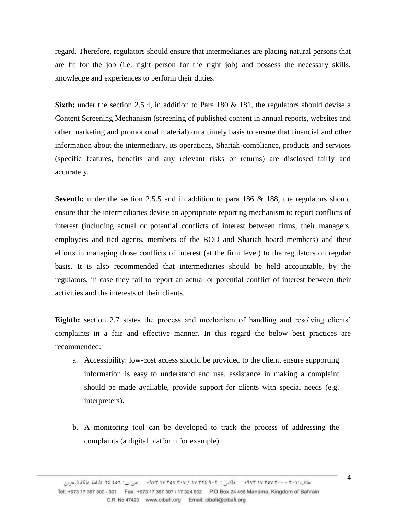regard. Therefore, regulators should ensure that intermediaries are placing natural persons that are fit for the job (i.e. right person for the right job) and possess the necessary skills, knowledge and experiences to perform their duties.

**Sixth:** under the section 2.5.4, in addition to Para 180 & 181, the regulators should devise a Content Screening Mechanism (screening of published content in annual reports, websites and other marketing and promotional material) on a timely basis to ensure that financial and other information about the intermediary, its operations, Shariah-compliance, products and services (specific features, benefits and any relevant risks or returns) are disclosed fairly and accurately.

**Seventh:** under the section 2.5.5 and in addition to para 186 & 188, the regulators should ensure that the intermediaries devise an appropriate reporting mechanism to report conflicts of interest (including actual or potential conflicts of interest between firms, their managers, employees and tied agents, members of the BOD and Shariah board members) and their efforts in managing those conflicts of interest (at the firm level) to the regulators on regular basis. It is also recommended that intermediaries should be held accountable, by the regulators, in case they fail to report an actual or potential conflict of interest between their activities and the interests of their clients.

**Eighth:** section 2.7 states the process and mechanism of handling and resolving clients' complaints in a fair and effective manner. In this regard the below best practices are recommended:

- a. Accessibility: low-cost access should be provided to the client, ensure supporting information is easy to understand and use, assistance in making a complaint should be made available, provide support for clients with special needs (e.g. interpreters).
- b. A monitoring tool can be developed to track the process of addressing the complaints (a digital platform for example).

4